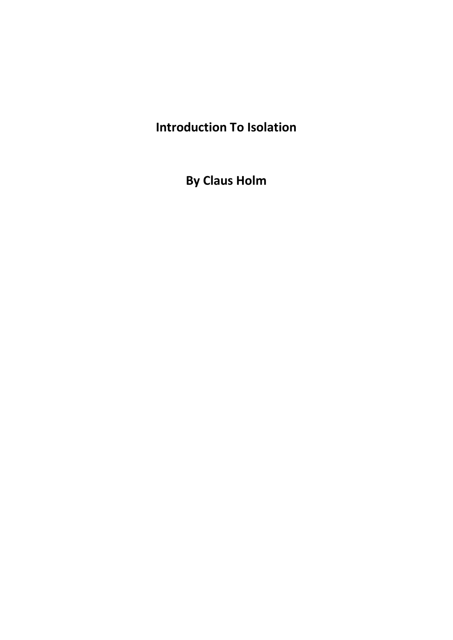## **Introduction To Isolation**

**By Claus Holm**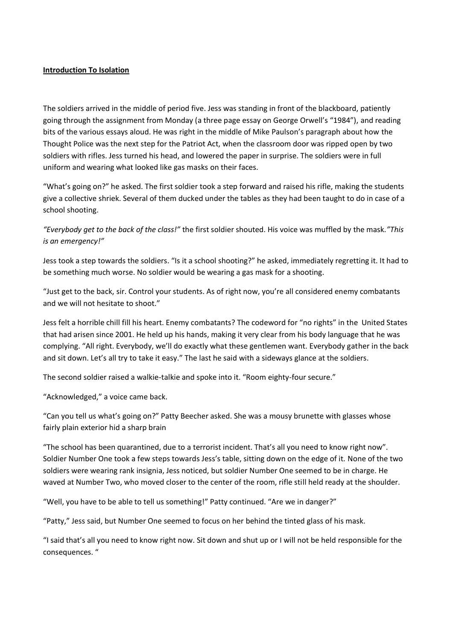## **Introduction To Isolation**

The soldiers arrived in the middle of period five. Jess was standing in front of the blackboard, patiently going through the assignment from Monday (a three page essay on George Orwell's "1984"), and reading bits of the various essays aloud. He was right in the middle of Mike Paulson's paragraph about how the Thought Police was the next step for the Patriot Act, when the classroom door was ripped open by two soldiers with rifles. Jess turned his head, and lowered the paper in surprise. The soldiers were in full uniform and wearing what looked like gas masks on their faces.

"What's going on?" he asked. The first soldier took a step forward and raised his rifle, making the students give a collective shriek. Several of them ducked under the tables as they had been taught to do in case of a school shooting.

*"Everybody get to the back of the class!"* the first soldier shouted. His voice was muffled by the mask*."This is an emergency!"*

Jess took a step towards the soldiers. "Is it a school shooting?" he asked, immediately regretting it. It had to be something much worse. No soldier would be wearing a gas mask for a shooting.

"Just get to the back, sir. Control your students. As of right now, you're all considered enemy combatants and we will not hesitate to shoot."

Jess felt a horrible chill fill his heart. Enemy combatants? The codeword for "no rights" in the United States that had arisen since 2001. He held up his hands, making it very clear from his body language that he was complying. "All right. Everybody, we'll do exactly what these gentlemen want. Everybody gather in the back and sit down. Let's all try to take it easy." The last he said with a sideways glance at the soldiers.

The second soldier raised a walkie-talkie and spoke into it. "Room eighty-four secure."

"Acknowledged," a voice came back.

"Can you tell us what's going on?" Patty Beecher asked. She was a mousy brunette with glasses whose fairly plain exterior hid a sharp brain

"The school has been quarantined, due to a terrorist incident. That's all you need to know right now". Soldier Number One took a few steps towards Jess's table, sitting down on the edge of it. None of the two soldiers were wearing rank insignia, Jess noticed, but soldier Number One seemed to be in charge. He waved at Number Two, who moved closer to the center of the room, rifle still held ready at the shoulder.

"Well, you have to be able to tell us something!" Patty continued. "Are we in danger?"

"Patty," Jess said, but Number One seemed to focus on her behind the tinted glass of his mask.

"I said that's all you need to know right now. Sit down and shut up or I will not be held responsible for the consequences. "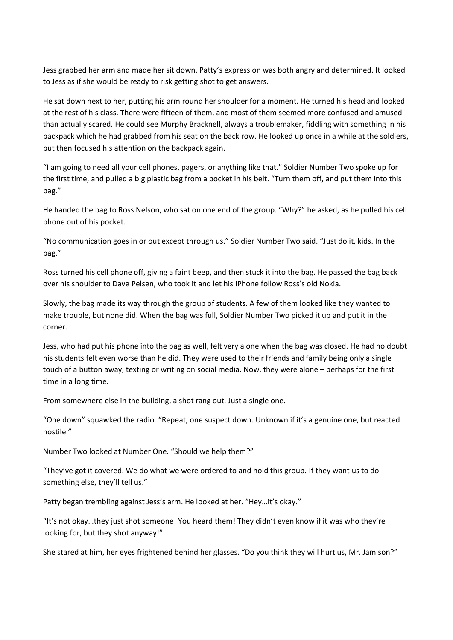Jess grabbed her arm and made her sit down. Patty's expression was both angry and determined. It looked to Jess as if she would be ready to risk getting shot to get answers.

He sat down next to her, putting his arm round her shoulder for a moment. He turned his head and looked at the rest of his class. There were fifteen of them, and most of them seemed more confused and amused than actually scared. He could see Murphy Bracknell, always a troublemaker, fiddling with something in his backpack which he had grabbed from his seat on the back row. He looked up once in a while at the soldiers, but then focused his attention on the backpack again.

"I am going to need all your cell phones, pagers, or anything like that." Soldier Number Two spoke up for the first time, and pulled a big plastic bag from a pocket in his belt. "Turn them off, and put them into this bag."

He handed the bag to Ross Nelson, who sat on one end of the group. "Why?" he asked, as he pulled his cell phone out of his pocket.

"No communication goes in or out except through us." Soldier Number Two said. "Just do it, kids. In the bag."

Ross turned his cell phone off, giving a faint beep, and then stuck it into the bag. He passed the bag back over his shoulder to Dave Pelsen, who took it and let his iPhone follow Ross's old Nokia.

Slowly, the bag made its way through the group of students. A few of them looked like they wanted to make trouble, but none did. When the bag was full, Soldier Number Two picked it up and put it in the corner.

Jess, who had put his phone into the bag as well, felt very alone when the bag was closed. He had no doubt his students felt even worse than he did. They were used to their friends and family being only a single touch of a button away, texting or writing on social media. Now, they were alone – perhaps for the first time in a long time.

From somewhere else in the building, a shot rang out. Just a single one.

"One down" squawked the radio. "Repeat, one suspect down. Unknown if it's a genuine one, but reacted hostile."

Number Two looked at Number One. "Should we help them?"

"They've got it covered. We do what we were ordered to and hold this group. If they want us to do something else, they'll tell us."

Patty began trembling against Jess's arm. He looked at her. "Hey…it's okay."

"It's not okay…they just shot someone! You heard them! They didn't even know if it was who they're looking for, but they shot anyway!"

She stared at him, her eyes frightened behind her glasses. "Do you think they will hurt us, Mr. Jamison?"